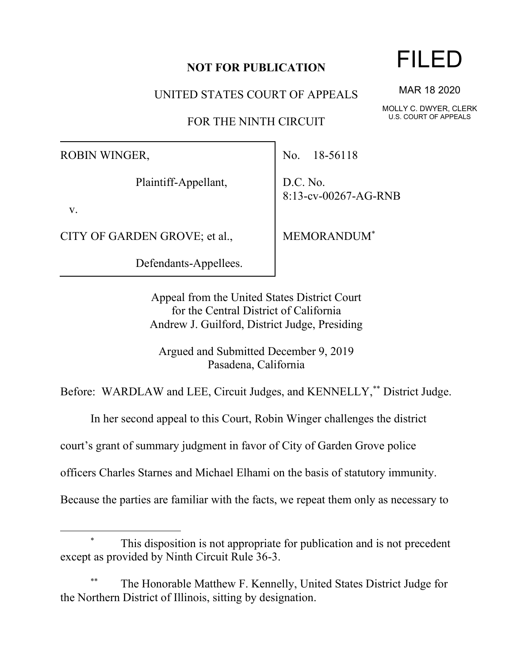# **NOT FOR PUBLICATION**

UNITED STATES COURT OF APPEALS

FOR THE NINTH CIRCUIT

ROBIN WINGER,

Plaintiff-Appellant,

v.

CITY OF GARDEN GROVE; et al.,

Defendants-Appellees.

No. 18-56118

D.C. No. 8:13-cv-00267-AG-RNB

MEMORANDUM\*

Appeal from the United States District Court for the Central District of California Andrew J. Guilford, District Judge, Presiding

Argued and Submitted December 9, 2019 Pasadena, California

Before: WARDLAW and LEE, Circuit Judges, and KENNELLY,\*\* District Judge.

In her second appeal to this Court, Robin Winger challenges the district

court's grant of summary judgment in favor of City of Garden Grove police

officers Charles Starnes and Michael Elhami on the basis of statutory immunity.

Because the parties are familiar with the facts, we repeat them only as necessary to

# FILED

MAR 18 2020

MOLLY C. DWYER, CLERK U.S. COURT OF APPEALS

This disposition is not appropriate for publication and is not precedent except as provided by Ninth Circuit Rule 36-3.

The Honorable Matthew F. Kennelly, United States District Judge for the Northern District of Illinois, sitting by designation.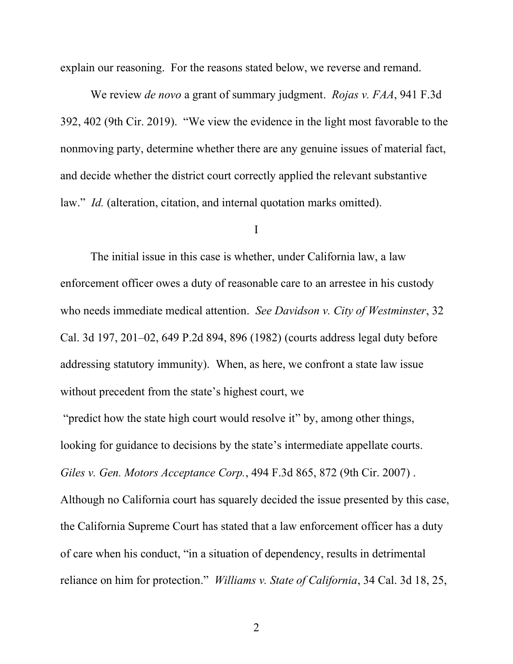explain our reasoning. For the reasons stated below, we reverse and remand.

We review *de novo* a grant of summary judgment. *Rojas v. FAA*, 941 F.3d 392, 402 (9th Cir. 2019). "We view the evidence in the light most favorable to the nonmoving party, determine whether there are any genuine issues of material fact, and decide whether the district court correctly applied the relevant substantive law." *Id.* (alteration, citation, and internal quotation marks omitted).

### I

The initial issue in this case is whether, under California law, a law enforcement officer owes a duty of reasonable care to an arrestee in his custody who needs immediate medical attention. *See Davidson v. City of Westminster*, 32 Cal. 3d 197, 201–02, 649 P.2d 894, 896 (1982) (courts address legal duty before addressing statutory immunity). When, as here, we confront a state law issue without precedent from the state's highest court, we

"predict how the state high court would resolve it" by, among other things, looking for guidance to decisions by the state's intermediate appellate courts. *Giles v. Gen. Motors Acceptance Corp.*, 494 F.3d 865, 872 (9th Cir. 2007) . Although no California court has squarely decided the issue presented by this case, the California Supreme Court has stated that a law enforcement officer has a duty of care when his conduct, "in a situation of dependency, results in detrimental reliance on him for protection." *Williams v. State of California*, 34 Cal. 3d 18, 25,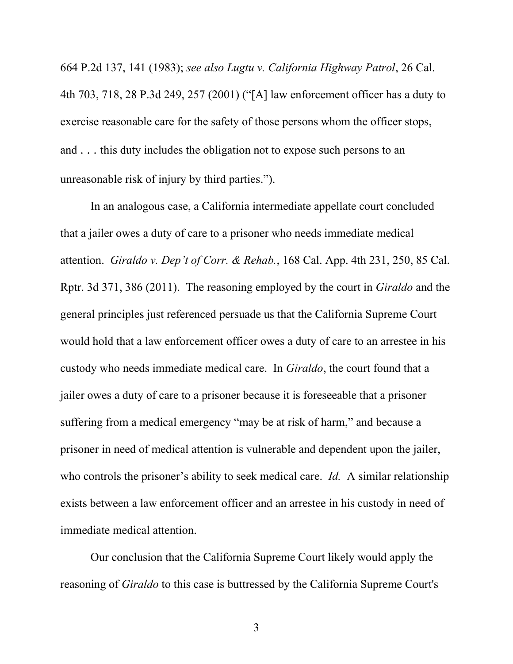664 P.2d 137, 141 (1983); *see also Lugtu v. California Highway Patrol*, 26 Cal. 4th 703, 718, 28 P.3d 249, 257 (2001) ("[A] law enforcement officer has a duty to exercise reasonable care for the safety of those persons whom the officer stops, and . . . this duty includes the obligation not to expose such persons to an unreasonable risk of injury by third parties.").

In an analogous case, a California intermediate appellate court concluded that a jailer owes a duty of care to a prisoner who needs immediate medical attention. *Giraldo v. Dep't of Corr. & Rehab.*, 168 Cal. App. 4th 231, 250, 85 Cal. Rptr. 3d 371, 386 (2011). The reasoning employed by the court in *Giraldo* and the general principles just referenced persuade us that the California Supreme Court would hold that a law enforcement officer owes a duty of care to an arrestee in his custody who needs immediate medical care. In *Giraldo*, the court found that a jailer owes a duty of care to a prisoner because it is foreseeable that a prisoner suffering from a medical emergency "may be at risk of harm," and because a prisoner in need of medical attention is vulnerable and dependent upon the jailer, who controls the prisoner's ability to seek medical care. *Id.* A similar relationship exists between a law enforcement officer and an arrestee in his custody in need of immediate medical attention.

Our conclusion that the California Supreme Court likely would apply the reasoning of *Giraldo* to this case is buttressed by the California Supreme Court's

3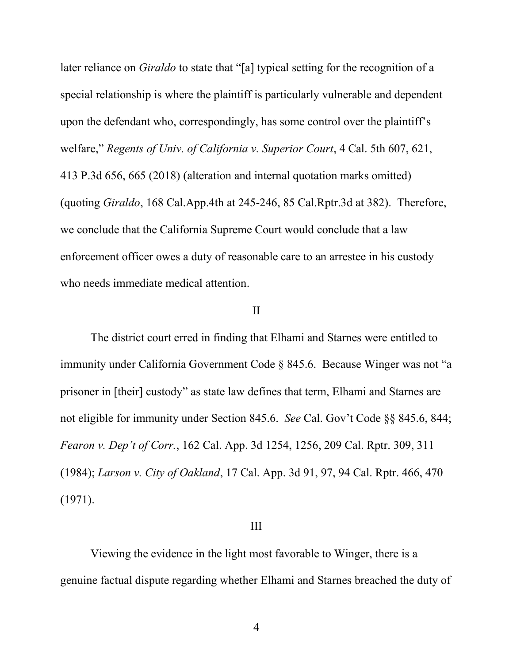later reliance on *Giraldo* to state that "[a] typical setting for the recognition of a special relationship is where the plaintiff is particularly vulnerable and dependent upon the defendant who, correspondingly, has some control over the plaintiff's welfare," *Regents of Univ. of California v. Superior Court*, 4 Cal. 5th 607, 621, 413 P.3d 656, 665 (2018) (alteration and internal quotation marks omitted) (quoting *Giraldo*, 168 Cal.App.4th at 245-246, 85 Cal.Rptr.3d at 382). Therefore, we conclude that the California Supreme Court would conclude that a law enforcement officer owes a duty of reasonable care to an arrestee in his custody who needs immediate medical attention.

# II

The district court erred in finding that Elhami and Starnes were entitled to immunity under California Government Code § 845.6. Because Winger was not "a prisoner in [their] custody" as state law defines that term, Elhami and Starnes are not eligible for immunity under Section 845.6. *See* Cal. Gov't Code §§ 845.6, 844; *Fearon v. Dep't of Corr.*, 162 Cal. App. 3d 1254, 1256, 209 Cal. Rptr. 309, 311 (1984); *Larson v. City of Oakland*, 17 Cal. App. 3d 91, 97, 94 Cal. Rptr. 466, 470 (1971).

#### III

Viewing the evidence in the light most favorable to Winger, there is a genuine factual dispute regarding whether Elhami and Starnes breached the duty of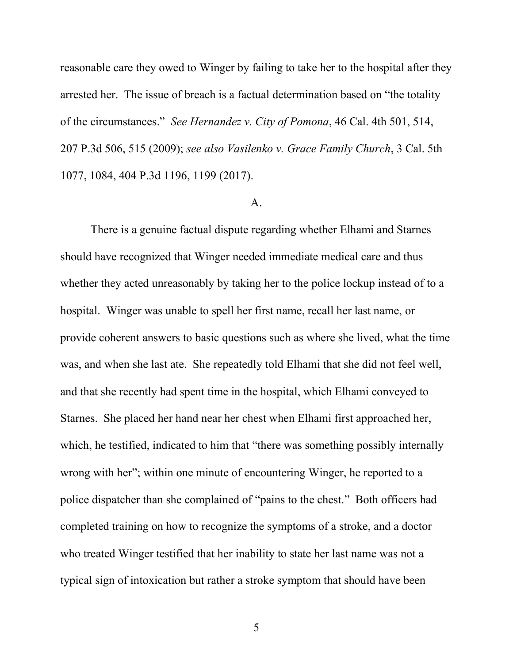reasonable care they owed to Winger by failing to take her to the hospital after they arrested her. The issue of breach is a factual determination based on "the totality of the circumstances." *See Hernandez v. City of Pomona*, 46 Cal. 4th 501, 514, 207 P.3d 506, 515 (2009); *see also Vasilenko v. Grace Family Church*, 3 Cal. 5th 1077, 1084, 404 P.3d 1196, 1199 (2017).

#### A.

There is a genuine factual dispute regarding whether Elhami and Starnes should have recognized that Winger needed immediate medical care and thus whether they acted unreasonably by taking her to the police lockup instead of to a hospital. Winger was unable to spell her first name, recall her last name, or provide coherent answers to basic questions such as where she lived, what the time was, and when she last ate. She repeatedly told Elhami that she did not feel well, and that she recently had spent time in the hospital, which Elhami conveyed to Starnes. She placed her hand near her chest when Elhami first approached her, which, he testified, indicated to him that "there was something possibly internally wrong with her"; within one minute of encountering Winger, he reported to a police dispatcher than she complained of "pains to the chest." Both officers had completed training on how to recognize the symptoms of a stroke, and a doctor who treated Winger testified that her inability to state her last name was not a typical sign of intoxication but rather a stroke symptom that should have been

5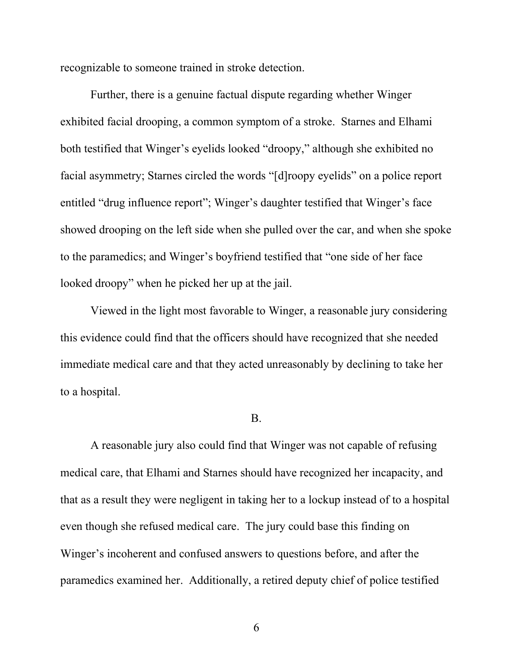recognizable to someone trained in stroke detection.

Further, there is a genuine factual dispute regarding whether Winger exhibited facial drooping, a common symptom of a stroke. Starnes and Elhami both testified that Winger's eyelids looked "droopy," although she exhibited no facial asymmetry; Starnes circled the words "[d]roopy eyelids" on a police report entitled "drug influence report"; Winger's daughter testified that Winger's face showed drooping on the left side when she pulled over the car, and when she spoke to the paramedics; and Winger's boyfriend testified that "one side of her face looked droopy" when he picked her up at the jail.

Viewed in the light most favorable to Winger, a reasonable jury considering this evidence could find that the officers should have recognized that she needed immediate medical care and that they acted unreasonably by declining to take her to a hospital.

#### B.

A reasonable jury also could find that Winger was not capable of refusing medical care, that Elhami and Starnes should have recognized her incapacity, and that as a result they were negligent in taking her to a lockup instead of to a hospital even though she refused medical care. The jury could base this finding on Winger's incoherent and confused answers to questions before, and after the paramedics examined her. Additionally, a retired deputy chief of police testified

6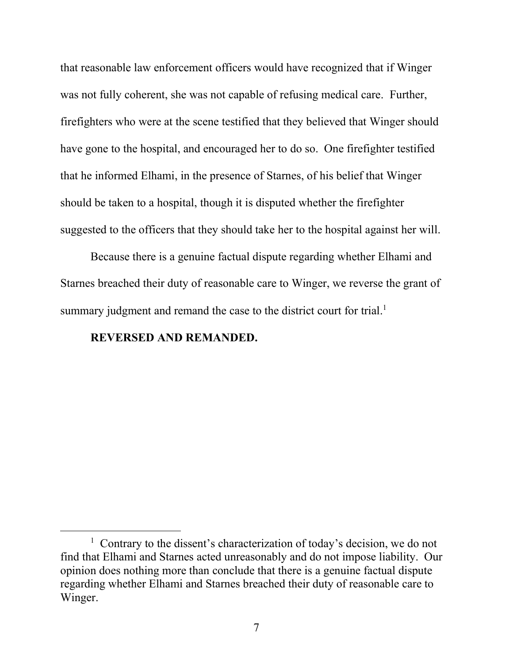that reasonable law enforcement officers would have recognized that if Winger was not fully coherent, she was not capable of refusing medical care. Further, firefighters who were at the scene testified that they believed that Winger should have gone to the hospital, and encouraged her to do so. One firefighter testified that he informed Elhami, in the presence of Starnes, of his belief that Winger should be taken to a hospital, though it is disputed whether the firefighter suggested to the officers that they should take her to the hospital against her will.

Because there is a genuine factual dispute regarding whether Elhami and Starnes breached their duty of reasonable care to Winger, we reverse the grant of summary judgment and remand the case to the district court for trial.<sup>1</sup>

# **REVERSED AND REMANDED.**

<sup>&</sup>lt;sup>1</sup> Contrary to the dissent's characterization of today's decision, we do not find that Elhami and Starnes acted unreasonably and do not impose liability. Our opinion does nothing more than conclude that there is a genuine factual dispute regarding whether Elhami and Starnes breached their duty of reasonable care to Winger.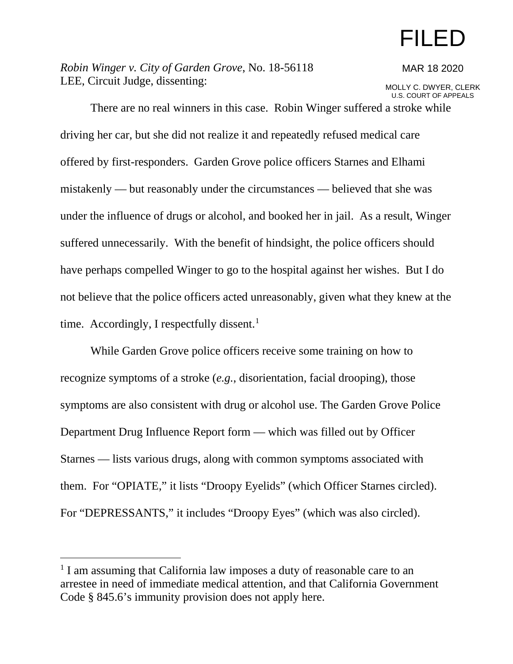# FILED

*Robin Winger v. City of Garden Grove*, No. 18-56118 LEE, Circuit Judge, dissenting:

#### MAR 18 2020

MOLLY C. DWYER, CLERK U.S. COURT OF APPEALS

There are no real winners in this case. Robin Winger suffered a stroke while driving her car, but she did not realize it and repeatedly refused medical care offered by first-responders. Garden Grove police officers Starnes and Elhami mistakenly — but reasonably under the circumstances — believed that she was under the influence of drugs or alcohol, and booked her in jail. As a result, Winger suffered unnecessarily. With the benefit of hindsight, the police officers should have perhaps compelled Winger to go to the hospital against her wishes. But I do not believe that the police officers acted unreasonably, given what they knew at the time. Accordingly, I respectfully dissent. $<sup>1</sup>$  $<sup>1</sup>$  $<sup>1</sup>$ </sup>

While Garden Grove police officers receive some training on how to recognize symptoms of a stroke (*e.g.*, disorientation, facial drooping), those symptoms are also consistent with drug or alcohol use. The Garden Grove Police Department Drug Influence Report form — which was filled out by Officer Starnes — lists various drugs, along with common symptoms associated with them. For "OPIATE," it lists "Droopy Eyelids" (which Officer Starnes circled). For "DEPRESSANTS," it includes "Droopy Eyes" (which was also circled).

<span id="page-7-0"></span><sup>&</sup>lt;sup>1</sup> I am assuming that California law imposes a duty of reasonable care to an arrestee in need of immediate medical attention, and that California Government Code § 845.6's immunity provision does not apply here.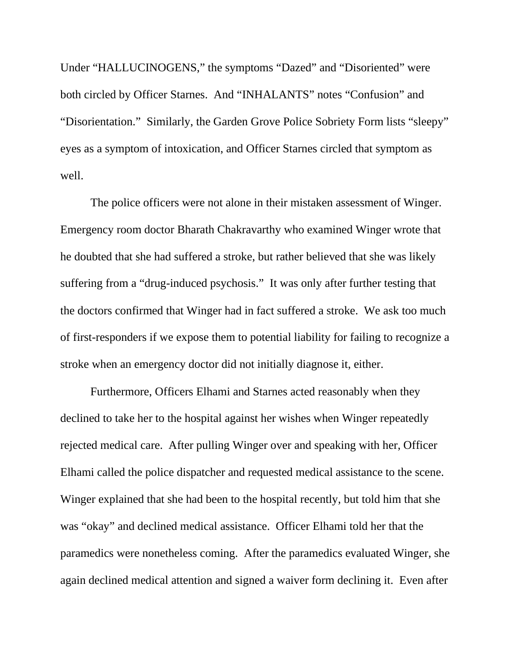Under "HALLUCINOGENS," the symptoms "Dazed" and "Disoriented" were both circled by Officer Starnes. And "INHALANTS" notes "Confusion" and "Disorientation." Similarly, the Garden Grove Police Sobriety Form lists "sleepy" eyes as a symptom of intoxication, and Officer Starnes circled that symptom as well.

The police officers were not alone in their mistaken assessment of Winger. Emergency room doctor Bharath Chakravarthy who examined Winger wrote that he doubted that she had suffered a stroke, but rather believed that she was likely suffering from a "drug-induced psychosis." It was only after further testing that the doctors confirmed that Winger had in fact suffered a stroke. We ask too much of first-responders if we expose them to potential liability for failing to recognize a stroke when an emergency doctor did not initially diagnose it, either.

Furthermore, Officers Elhami and Starnes acted reasonably when they declined to take her to the hospital against her wishes when Winger repeatedly rejected medical care. After pulling Winger over and speaking with her, Officer Elhami called the police dispatcher and requested medical assistance to the scene. Winger explained that she had been to the hospital recently, but told him that she was "okay" and declined medical assistance. Officer Elhami told her that the paramedics were nonetheless coming. After the paramedics evaluated Winger, she again declined medical attention and signed a waiver form declining it.Even after